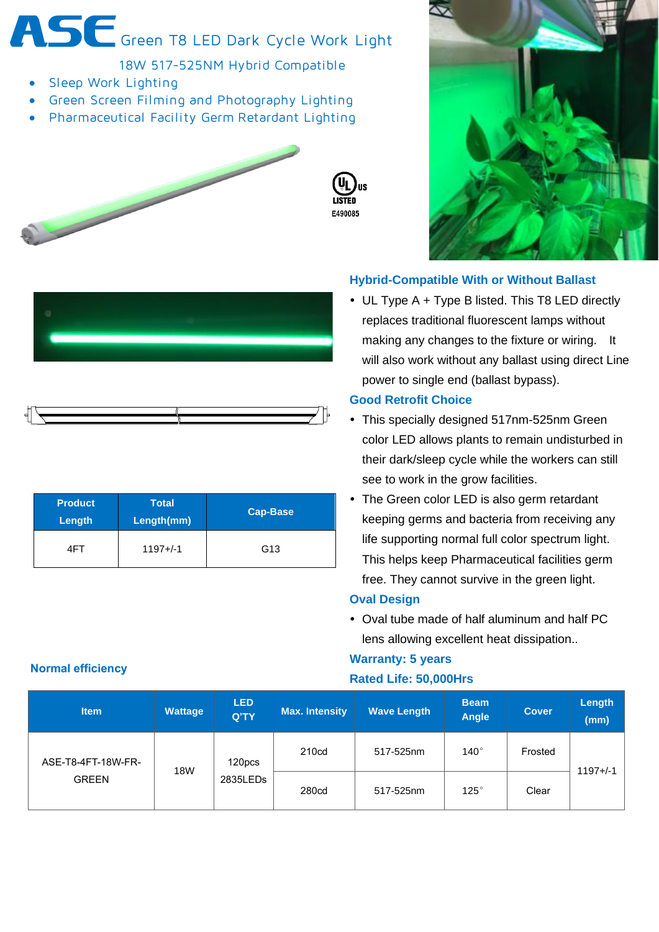ASE Green T8 LED Dark Cycle Work Light

18W 517-525NM Hybrid Compatible

- Sleep Work Lighting
- Green Screen Filming and Photography Lighting
- Pharmaceutical Facility Germ Retardant Lighting





## **Hybrid-Compatible With or Without Ballast**

 UL Type A + Type B listed. This T8 LED directly replaces traditional fluorescent lamps without making any changes to the fixture or wiring. It will also work without any ballast using direct Line power to single end (ballast bypass).

#### **Good Retrofit Choice**

- This specially designed 517nm-525nm Green color LED allows plants to remain undisturbed in their dark/sleep cycle while the workers can still see to work in the grow facilities.
- The Green color LED is also germ retardant keeping germs and bacteria from receiving any life supporting normal full color spectrum light. This helps keep Pharmaceutical facilities germ free. They cannot survive in the green light.

## **Oval Design**

 Oval tube made of half aluminum and half PC lens allowing excellent heat dissipation..

## **Warranty: 5 years Rated Life: 50,000Hrs**

| <b>Item</b>                        | <b>Wattage</b> | <b>LED</b><br>Q'TY | Max. Intensity    | <b>Wave Length</b> | <b>Beam</b><br><b>Angle</b> | <b>Cover</b> | Length<br>(mm) |
|------------------------------------|----------------|--------------------|-------------------|--------------------|-----------------------------|--------------|----------------|
| ASE-T8-4FT-18W-FR-<br><b>GREEN</b> | <b>18W</b>     | 120pcs<br>2835LEDs | 210 <sub>cd</sub> | 517-525nm          | $140^\circ$                 | Frosted      | 1197+/-1       |
|                                    |                |                    | 280 <sub>cd</sub> | 517-525nm          | $125^\circ$                 | Clear        |                |

#### **Normal efficiency**





| <b>Product</b><br>Length | <b>Total</b><br>Length(mm) | <b>Cap-Base</b> |  |
|--------------------------|----------------------------|-----------------|--|
| 41- I                    | $1197 + (-1)$              | G <sub>13</sub> |  |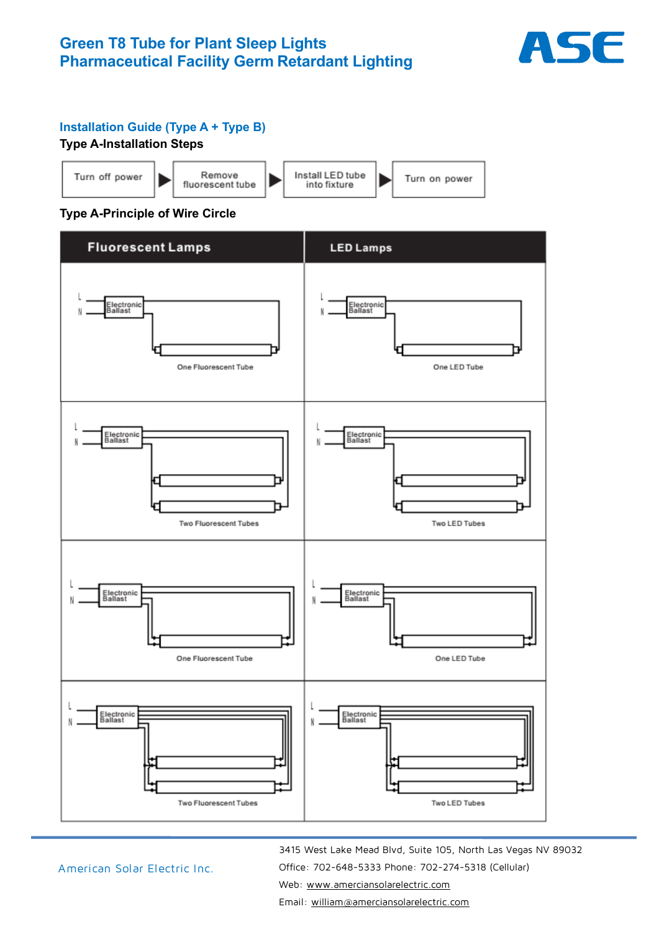

## **Installation Guide (Type A + Type B)**

## **Type A-Installation Steps**



## **Type A-Principle of Wire Circle**



American Solar Electric Inc.

 3415 West Lake Mead Blvd, Suite 105, North Las Vegas NV 89032 Office: 702-648-5333 Phone: 702-274-5318 (Cellular) Web: [www.amerciansolarelectric.com](http://www.amerciansolarelectric.com/) 

Email: [william@amerciansolarelectric.com](mailto:william@amerciansolarelectric.com)